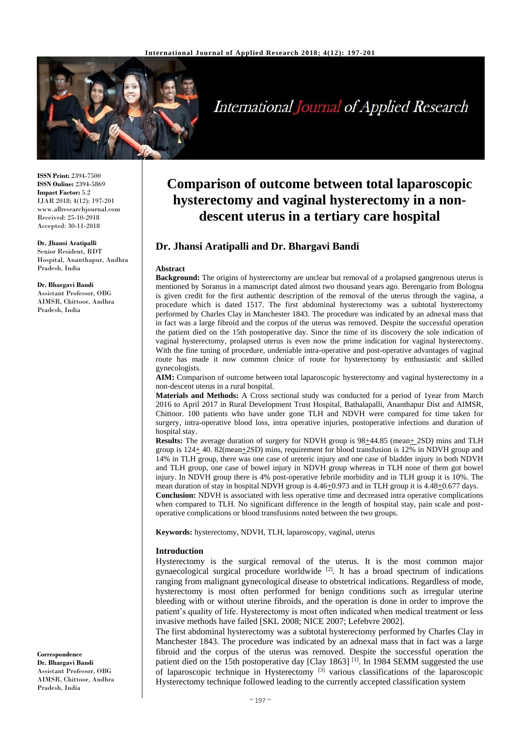

# International Journal of Applied Research

**ISSN Print:** 2394-7500 **ISSN Online:** 2394-5869 **Impact Factor:** 5.2 IJAR 2018; 4(12): 197-201 www.allresearchjournal.com Received: 25-10-2018 Accepted: 30-11-2018

**Dr. Jhansi Aratipalli** Senior Resident, RDT Hospital, Ananthapur, Andhra Pradesh, India

#### **Dr. Bhargavi Bandi**

Assistant Professor, OBG AIMSR, Chittoor, Andhra Pradesh, India

## **Comparison of outcome between total laparoscopic hysterectomy and vaginal hysterectomy in a nondescent uterus in a tertiary care hospital**

## **Dr. Jhansi Aratipalli and Dr. Bhargavi Bandi**

#### **Abstract**

**Background:** The origins of hysterectomy are unclear but removal of a prolapsed gangrenous uterus is mentioned by Soranus in a manuscript dated almost two thousand years ago. Berengario from Bologna is given credit for the first authentic description of the removal of the uterus through the vagina, a procedure which is dated 1517. The first abdominal hysterectomy was a subtotal hysterectomy performed by Charles Clay in Manchester 1843. The procedure was indicated by an adnexal mass that in fact was a large fibroid and the corpus of the uterus was removed. Despite the successful operation the patient died on the 15th postoperative day. Since the time of its discovery the sole indication of vaginal hysterectomy, prolapsed uterus is even now the prime indication for vaginal hysterectomy. With the fine tuning of procedure, undeniable intra-operative and post-operative advantages of vaginal route has made it now common choice of route for hysterectomy by enthusiastic and skilled gynecologists.

**AIM:** Comparison of outcome between total laparoscopic hysterectomy and vaginal hysterectomy in a non-descent uterus in a rural hospital.

**Materials and Methods:** A Cross sectional study was conducted for a period of 1year from March 2016 to April 2017 in Rural Development Trust Hospital, Bathalapalli, Ananthapur Dist and AIMSR, Chittoor. 100 patients who have under gone TLH and NDVH were compared for time taken for surgery, intra-operative blood loss, intra operative injuries, postoperative infections and duration of hospital stay.

**Results:** The average duration of surgery for NDVH group is  $98\pm44.85$  (mean $\pm$  2SD) mins and TLH group is 124+ 40. 82(mean+2SD) mins, requirement for blood transfusion is 12% in NDVH group and 14% in TLH group, there was one case of ureteric injury and one case of bladder injury in both NDVH and TLH group, one case of bowel injury in NDVH group whereas in TLH none of them got bowel injury. In NDVH group there is 4% post-operative febrile morbidity and in TLH group it is 10%. The mean duration of stay in hospital NDVH group is 4.46+0.973 and in TLH group it is 4.48+0.677 days. **Conclusion:** NDVH is associated with less operative time and decreased intra operative complications when compared to TLH. No significant difference in the length of hospital stay, pain scale and postoperative complications or blood transfusions noted between the two groups.

**Keywords:** hysterectomy, NDVH, TLH, laparoscopy, vaginal, uterus

#### **Introduction**

Hysterectomy is the surgical removal of the uterus. It is the most common major gynaecological surgical procedure worldwide  $[2]$ . It has a broad spectrum of indications ranging from malignant gynecological disease to obstetrical indications. Regardless of mode, hysterectomy is most often performed for benign conditions such as irregular uterine bleeding with or without uterine fibroids, and the operation is done in order to improve the patient's quality of life. Hysterectomy is most often indicated when medical treatment or less invasive methods have failed [SKL 2008; NICE 2007; Lefebvre 2002].

The first abdominal hysterectomy was a subtotal hysterectomy performed by Charles Clay in Manchester 1843. The procedure was indicated by an adnexal mass that in fact was a large fibroid and the corpus of the uterus was removed. Despite the successful operation the patient died on the 15th postoperative day [Clay 1863]<sup>[1]</sup>. In 1984 SEMM suggested the use of laparoscopic technique in Hysterectomy  $[3]$  various classifications of the laparoscopic Hysterectomy technique followed leading to the currently accepted classification system

**Correspondence Dr. Bhargavi Bandi** Assistant Professor, OBG AIMSR, Chittoor, Andhra Pradesh, India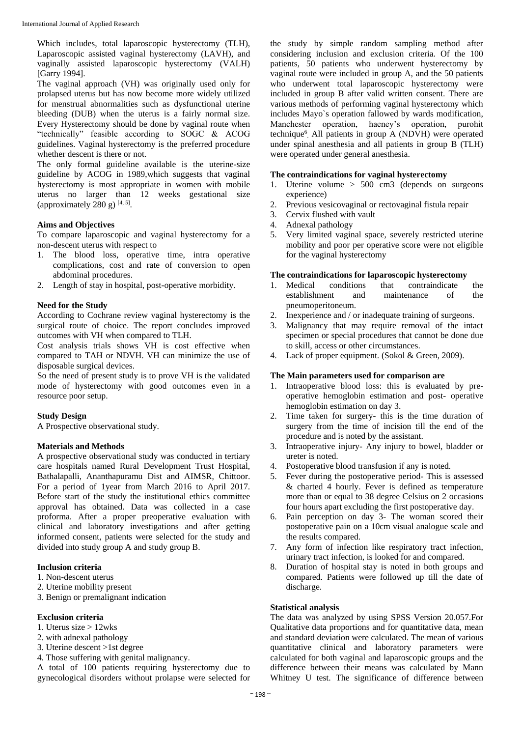Which includes, total laparoscopic hysterectomy (TLH), Laparoscopic assisted vaginal hysterectomy (LAVH), and vaginally assisted laparoscopic hysterectomy (VALH) [Garry 1994].

The vaginal approach (VH) was originally used only for prolapsed uterus but has now become more widely utilized for menstrual abnormalities such as dysfunctional uterine bleeding (DUB) when the uterus is a fairly normal size. Every Hysterectomy should be done by vaginal route when "technically" feasible according to SOGC & ACOG guidelines. Vaginal hysterectomy is the preferred procedure whether descent is there or not.

The only formal guideline available is the uterine-size guideline by ACOG in 1989,which suggests that vaginal hysterectomy is most appropriate in women with mobile uterus no larger than 12 weeks gestational size (approximately 280 g)  $[4, 5]$ .

## **Aims and Objectives**

To compare laparoscopic and vaginal hysterectomy for a non-descent uterus with respect to

- 1. The blood loss, operative time, intra operative complications, cost and rate of conversion to open abdominal procedures.
- 2. Length of stay in hospital, post-operative morbidity.

#### **Need for the Study**

According to Cochrane review vaginal hysterectomy is the surgical route of choice. The report concludes improved outcomes with VH when compared to TLH.

Cost analysis trials shows VH is cost effective when compared to TAH or NDVH. VH can minimize the use of disposable surgical devices.

So the need of present study is to prove VH is the validated mode of hysterectomy with good outcomes even in a resource poor setup.

## **Study Design**

A Prospective observational study.

## **Materials and Methods**

A prospective observational study was conducted in tertiary care hospitals named Rural Development Trust Hospital, Bathalapalli, Ananthapuramu Dist and AIMSR, Chittoor. For a period of 1year from March 2016 to April 2017. Before start of the study the institutional ethics committee approval has obtained. Data was collected in a case proforma. After a proper preoperative evaluation with clinical and laboratory investigations and after getting informed consent, patients were selected for the study and divided into study group A and study group B.

#### **Inclusion criteria**

- 1. Non-descent uterus
- 2. Uterine mobility present
- 3. Benign or premalignant indication

## **Exclusion criteria**

- 1. Uterus size > 12wks
- 2. with adnexal pathology
- 3. Uterine descent >1st degree
- 4. Those suffering with genital malignancy.

A total of 100 patients requiring hysterectomy due to gynecological disorders without prolapse were selected for

the study by simple random sampling method after considering inclusion and exclusion criteria. Of the 100 patients, 50 patients who underwent hysterectomy by vaginal route were included in group A, and the 50 patients who underwent total laparoscopic hysterectomy were included in group B after valid written consent. There are various methods of performing vaginal hysterectomy which includes Mayo's operation fallowed by wards modification,<br>Manchester operation, haeney's operation, purohit operation, haeney's operation, purohit technique<sup>6</sup>. All patients in group A (NDVH) were operated under spinal anesthesia and all patients in group B (TLH) were operated under general anesthesia.

#### **The contraindications for vaginal hysterectomy**

- 1. Uterine volume > 500 cm3 (depends on surgeons experience)
- 2. Previous vesicovaginal or rectovaginal fistula repair
- 3. Cervix flushed with vault
- 4. Adnexal pathology
- 5. Very limited vaginal space, severely restricted uterine mobility and poor per operative score were not eligible for the vaginal hysterectomy

#### **The contraindications for laparoscopic hysterectomy**

- 1. Medical conditions that contraindicate the establishment and maintenance of the pneumoperitoneum.
- 2. Inexperience and / or inadequate training of surgeons.
- 3. Malignancy that may require removal of the intact specimen or special procedures that cannot be done due to skill, access or other circumstances.
- 4. Lack of proper equipment. (Sokol & Green, 2009).

## **The Main parameters used for comparison are**

- 1. Intraoperative blood loss: this is evaluated by preoperative hemoglobin estimation and post- operative hemoglobin estimation on day 3.
- 2. Time taken for surgery- this is the time duration of surgery from the time of incision till the end of the procedure and is noted by the assistant.
- 3. Intraoperative injury- Any injury to bowel, bladder or ureter is noted.
- 4. Postoperative blood transfusion if any is noted.
- 5. Fever during the postoperative period- This is assessed & charted 4 hourly. Fever is defined as temperature more than or equal to 38 degree Celsius on 2 occasions four hours apart excluding the first postoperative day.
- 6. Pain perception on day 3- The woman scored their postoperative pain on a 10cm visual analogue scale and the results compared.
- 7. Any form of infection like respiratory tract infection, urinary tract infection, is looked for and compared.
- 8. Duration of hospital stay is noted in both groups and compared. Patients were followed up till the date of discharge.

## **Statistical analysis**

The data was analyzed by using SPSS Version 20.057.For Qualitative data proportions and for quantitative data, mean and standard deviation were calculated. The mean of various quantitative clinical and laboratory parameters were calculated for both vaginal and laparoscopic groups and the difference between their means was calculated by Mann Whitney U test. The significance of difference between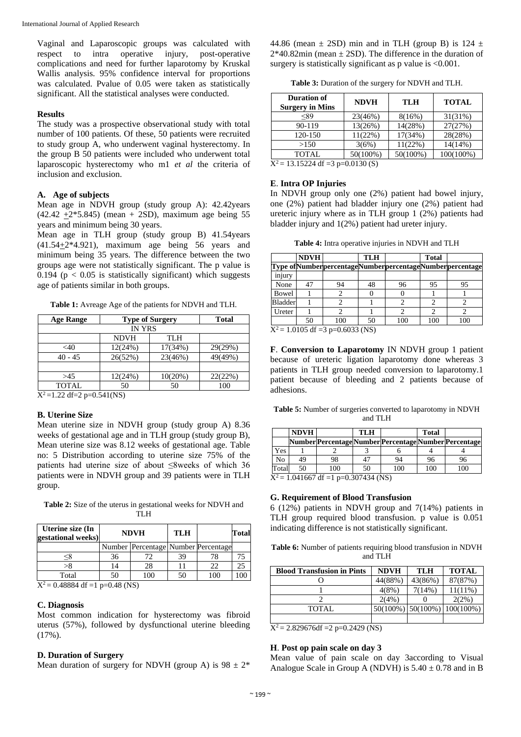Vaginal and Laparoscopic groups was calculated with respect to intra operative injury, post-operative complications and need for further laparotomy by Kruskal Wallis analysis. 95% confidence interval for proportions was calculated. Pvalue of 0.05 were taken as statistically significant. All the statistical analyses were conducted.

## **Results**

The study was a prospective observational study with total number of 100 patients. Of these, 50 patients were recruited to study group A, who underwent vaginal hysterectomy. In the group B 50 patients were included who underwent total laparoscopic hysterectomy who m1 *et al* the criteria of inclusion and exclusion.

#### **A. Age of subjects**

Mean age in NDVH group (study group A): 42.42years  $(42.42 +2*5.845)$  (mean + 2SD), maximum age being 55 years and minimum being 30 years.

Mean age in TLH group (study group B) 41.54years  $(41.54+2*4.921)$ , maximum age being 56 years and minimum being 35 years. The difference between the two groups age were not statistically significant. The p value is 0.194 ( $p < 0.05$  is statistically significant) which suggests age of patients similar in both groups.

**Table 1:** Avreage Age of the patients for NDVH and TLH.

| Age Range    | <b>Type of Surgery</b> | Total   |         |
|--------------|------------------------|---------|---------|
|              |                        |         |         |
|              | <b>NDVH</b>            | TLH     |         |
| $<$ 40       | 12(24%)                | 17(34%) | 29(29%) |
| $40 - 45$    | 26(52%)                | 23(46%) | 49(49%) |
|              |                        |         |         |
| >45          | 12(24%)                | 10(20%) | 22(22%) |
| <b>TOTAL</b> | 50                     | 50      | 100     |

 $X^2$ =1.22 df=2 p=0.541(NS)

#### **B. Uterine Size**

Mean uterine size in NDVH group (study group A) 8.36 weeks of gestational age and in TLH group (study group B), Mean uterine size was 8.12 weeks of gestational age. Table no: 5 Distribution according to uterine size 75% of the patients had uterine size of about ≤8weeks of which 36 patients were in NDVH group and 39 patients were in TLH group.

**Table 2:** Size of the uterus in gestational weeks for NDVH and TLH

| Uterine size (In<br>gestational weeks) | <b>NDVH</b> |                                     | <b>TLH</b> |     | <b>Total</b> |
|----------------------------------------|-------------|-------------------------------------|------------|-----|--------------|
|                                        |             | Number Percentage Number Percentage |            |     |              |
|                                        | 36          |                                     | 39         |     |              |
| >8                                     |             | 28                                  |            | 22  |              |
| Total                                  |             | 100                                 | 50         | 100 |              |

 $\overline{X^2} = 0.48884$  df =1 p=0.48 (NS)

#### **C. Diagnosis**

Most common indication for hysterectomy was fibroid uterus (57%), followed by dysfunctional uterine bleeding (17%).

## **D. Duration of Surgery**

Mean duration of surgery for NDVH (group A) is  $98 \pm 2^*$ 

44.86 (mean  $\pm$  2SD) min and in TLH (group B) is 124  $\pm$  $2*40.82$ min (mean  $\pm$  2SD). The difference in the duration of surgery is statistically significant as p value is  $\langle 0.001$ .

**Table 3:** Duration of the surgery for NDVH and TLH.

| <b>Duration of</b><br><b>Surgery in Mins</b> | <b>NDVH</b> | <b>TLH</b> | <b>TOTAL</b> |  |  |
|----------------------------------------------|-------------|------------|--------------|--|--|
| < 89                                         | 23(46%)     | 8(16%)     | 31(31%)      |  |  |
| 90-119                                       | 13(26%)     | 14(28%)    | 27(27%)      |  |  |
| 120-150                                      | 11(22%)     | $17(34\%)$ | 28(28%)      |  |  |
| >150                                         | 3(6%)       | 11(22%)    | $14(14\%)$   |  |  |
| <b>TOTAL</b>                                 | 50(100%)    | 50(100%)   | 100(100%)    |  |  |
| $X^2 = 13.15224$ df =3 p=0.0130 (S)          |             |            |              |  |  |

## **E**. **Intra OP Injuries**

In NDVH group only one (2%) patient had bowel injury, one (2%) patient had bladder injury one (2%) patient had ureteric injury where as in TLH group 1 (2%) patients had bladder injury and 1(2%) patient had ureter injury.

**Table 4:** Intra operative injuries in NDVH and TLH

|         | <b>NDVH</b> |     | <b>TLH</b> |                                                         | <b>Total</b> |     |
|---------|-------------|-----|------------|---------------------------------------------------------|--------------|-----|
|         |             |     |            | Type ofNumberpercentageNumberpercentageNumberpercentage |              |     |
| injury  |             |     |            |                                                         |              |     |
| None    |             | 94  | 48         | 96                                                      | 95           | 95  |
| Bowel   |             |     |            |                                                         |              |     |
| Bladder |             |     |            |                                                         |              |     |
| Ureter  |             |     |            |                                                         |              |     |
|         | 50          | 100 | 50         | 100                                                     | 100          | 100 |

 $X^2$  = 1.0105 df =3 p=0.6033 (NS)

**F**. **Conversion to Laparotomy** IN NDVH group 1 patient because of ureteric ligation laparotomy done whereas 3 patients in TLH group needed conversion to laparotomy.1 patient because of bleeding and 2 patients because of adhesions.

**Table 5:** Number of surgeries converted to laparotomy in NDVH and TLH

|       | <b>NDVH</b>                                       |     | <b>TLH</b> |                                                       | <b>Total</b> |     |
|-------|---------------------------------------------------|-----|------------|-------------------------------------------------------|--------------|-----|
|       |                                                   |     |            | Number Percentage Number Percentage Number Percentage |              |     |
| Yes   |                                                   |     |            |                                                       |              |     |
| No    | 49                                                | 98  | 47         | 94                                                    | 96           | 96  |
| Total | 50                                                | 100 | 50         | 100                                                   | 100          | 100 |
|       | $\overline{X^2}$ = 1.041667 df =1 p=0.307434 (NS) |     |            |                                                       |              |     |

## **G. Requirement of Blood Transfusion**

6 (12%) patients in NDVH group and 7(14%) patients in TLH group required blood transfusion. p value is 0.051 indicating difference is not statistically significant.

**Table 6:** Number of patients requiring blood transfusion in NDVH and TLH

| <b>Blood Transfusion in Pints</b> | <b>NDVH</b> | <b>TLH</b> | <b>TOTAL</b>                             |
|-----------------------------------|-------------|------------|------------------------------------------|
|                                   | 44(88%)     | 43(86%)    | 87(87%)                                  |
|                                   | 4(8%)       | 7(14%)     | $11(11\%)$                               |
|                                   | 2(4%)       |            | 2(2%)                                    |
| <b>TOTAL</b>                      |             |            | $50(100\%)$   $50(100\%)$   $100(100\%)$ |
|                                   |             |            |                                          |

 $X^2 = 2.829676df = 2 p=0.2429$  (NS)

#### **H**. **Post op pain scale on day 3**

Mean value of pain scale on day 3according to Visual Analogue Scale in Group A (NDVH) is  $5.40 \pm 0.78$  and in B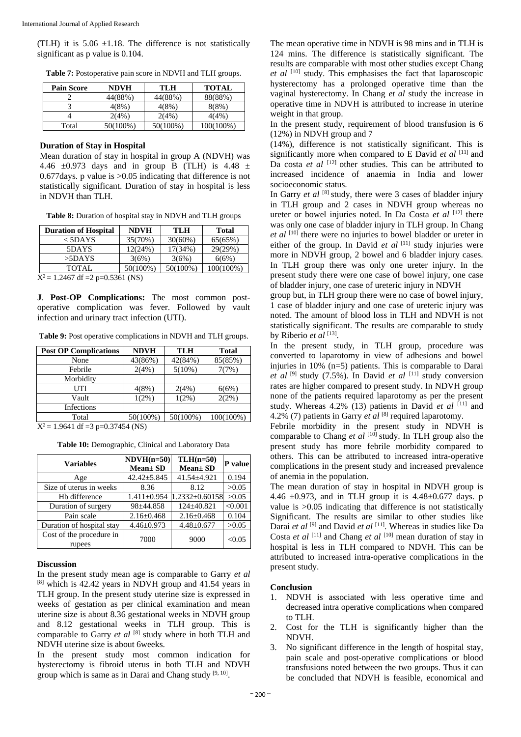(TLH) it is  $5.06 \pm 1.18$ . The difference is not statistically significant as p value is 0.104.

| <b>Pain Score</b> | <b>NDVH</b> | TLH      | <b>TOTAL</b> |
|-------------------|-------------|----------|--------------|
|                   | 44(88%)     | 44(88%)  | 88(88%)      |
|                   | 4(8%)       | 4(8%)    | $8(8\%)$     |
|                   | 2(4%)       | 2(4%)    | 4(4%)        |
| Total             | 50(100%)    | 50(100%) | 100(100%)    |

**Table 7:** Postoperative pain score in NDVH and TLH groups.

#### **Duration of Stay in Hospital**

Mean duration of stay in hospital in group A (NDVH) was 4.46  $\pm$ 0.973 days and in group B (TLH) is 4.48  $\pm$ 0.677days. p value is >0.05 indicating that difference is not statistically significant. Duration of stay in hospital is less in NDVH than TLH.

**Table 8:** Duration of hospital stay in NDVH and TLH groups

| <b>Duration of Hospital</b>                        | <b>NDVH</b> | TLH        | <b>Total</b> |
|----------------------------------------------------|-------------|------------|--------------|
| $<$ 5DAYS                                          | 35(70%)     | $30(60\%)$ | 65(65%)      |
| 5DAYS                                              | 12(24%)     | 17(34%)    | 29(29%)      |
| $>5$ DAYS                                          | 3(6%)       | 3(6%)      | 6(6%)        |
| <b>TOTAL</b>                                       | $50(100\%)$ | 50(100%)   | 100(100%)    |
| $\mathbf{Y}^2-$<br>1.2467 df $-2$ n $-0$ 5361 (NR) |             |            |              |

 $X^2$  = 1.2467 df = 2 p= 0.5361 (NS)

**J**. **Post-OP Complications:** The most common postoperative complication was fever. Followed by vault infection and urinary tract infection (UTI).

**Table 9:** Post operative complications in NDVH and TLH groups.

| <b>Post OP Complications</b>    | <b>NDVH</b>  | <b>TLH</b>  | <b>Total</b> |
|---------------------------------|--------------|-------------|--------------|
| None                            | 43(86%)      | 42(84%)     | 85(85%)      |
| Febrile                         | 2(4%)        | $5(10\%)$   | 7(7%)        |
| Morbidity                       |              |             |              |
| UTI                             | 4(8%)        | 2(4%)       | 6(6%)        |
| Vault                           | $1(2\%)$     | $1(2\%)$    | 2(2%)        |
| Infections                      |              |             |              |
| Total                           | 50(100%)     | $50(100\%)$ | 100(100%)    |
| $\mathbf{r}$<br>$1.0641$ $10.0$ | 0.27171.0370 |             |              |

 $X^2$  = 1.9641 df =3 p=0.37454 (NS)

**Table 10:** Demographic, Clinical and Laboratory Data

| <b>Variables</b>                   | $NDVH(n=50)$<br>$Mean \pm SD$ | $TLH(n=50)$<br>Mean± SD | P value |
|------------------------------------|-------------------------------|-------------------------|---------|
| Age                                | $42.42 \pm 5.845$             | $41.54 \pm 4.921$       | 0.194   |
| Size of uterus in weeks            | 8.36                          | 8.12                    | >0.05   |
| Hb difference                      | $1.411 \pm 0.954$             | 1.2332±0.60158          | >0.05   |
| Duration of surgery                | $98 \pm 44.858$               | $124 \pm 40.821$        | < 0.001 |
| Pain scale                         | $2.16 \pm 0.468$              | $2.16 \pm 0.468$        | 0.104   |
| Duration of hospital stay          | $4.46 \pm 0.973$              | $4.48 \pm 0.677$        | >0.05   |
| Cost of the procedure in<br>rupees | 7000                          | 9000                    | < 0.05  |

#### **Discussion**

In the present study mean age is comparable to Garry *et al*  $[8]$  which is 42.42 years in NDVH group and 41.54 years in TLH group. In the present study uterine size is expressed in weeks of gestation as per clinical examination and mean uterine size is about 8.36 gestational weeks in NDVH group and 8.12 gestational weeks in TLH group. This is comparable to Garry *et al* [8] study where in both TLH and NDVH uterine size is about 6weeks.

In the present study most common indication for hysterectomy is fibroid uterus in both TLH and NDVH group which is same as in Darai and Chang study [9, 10].

The mean operative time in NDVH is 98 mins and in TLH is 124 mins. The difference is statistically significant. The results are comparable with most other studies except Chang *et al* [10] study. This emphasises the fact that laparoscopic hysterectomy has a prolonged operative time than the vaginal hysterectomy. In Chang *et al* study the increase in operative time in NDVH is attributed to increase in uterine weight in that group.

In the present study, requirement of blood transfusion is 6 (12%) in NDVH group and 7

(14%), difference is not statistically significant. This is significantly more when compared to E David *et al* [11] and Da costa *et al* <sup>[12]</sup> other studies. This can be attributed to increased incidence of anaemia in India and lower socioeconomic status.

In Garry *et al* [8] study, there were 3 cases of bladder injury in TLH group and 2 cases in NDVH group whereas no ureter or bowel injuries noted. In Da Costa et al <a>[12]</a> there was only one case of bladder injury in TLH group. In Chang et al <sup>[10]</sup> there were no injuries to bowel bladder or ureter in either of the group. In David *et al* <sup>[11]</sup> study injuries were more in NDVH group, 2 bowel and 6 bladder injury cases. In TLH group there was only one ureter injury. In the present study there were one case of bowel injury, one case of bladder injury, one case of ureteric injury in NDVH

group but, in TLH group there were no case of bowel injury, 1 case of bladder injury and one case of ureteric injury was noted. The amount of blood loss in TLH and NDVH is not statistically significant. The results are comparable to study by Riberio et al [13].

In the present study, in TLH group, procedure was converted to laparotomy in view of adhesions and bowel injuries in 10% (n=5) patients. This is comparable to Darai *et al* [9] study (7.5%). In David *et al* [11] study conversion rates are higher compared to present study. In NDVH group none of the patients required laparotomy as per the present study. Whereas 4.2% (13) patients in David *et al* [11] and 4.2% (7) patients in Garry *et al* [8] required laparotomy.

Febrile morbidity in the present study in NDVH is comparable to Chang *et al*  $[10]$  study. In TLH group also the present study has more febrile morbidity compared to others. This can be attributed to increased intra-operative complications in the present study and increased prevalence of anemia in the population.

The mean duration of stay in hospital in NDVH group is 4.46 ±0.973, and in TLH group it is 4.48±0.677 days. p value is >0.05 indicating that difference is not statistically Significant. The results are similar to other studies like Darai *et al* [9] and David *et al* [11]. Whereas in studies like Da Costa *et al* <sup>[11]</sup> and Chang *et al* <sup>[10]</sup> mean duration of stay in hospital is less in TLH compared to NDVH. This can be attributed to increased intra-operative complications in the present study.

#### **Conclusion**

- 1. NDVH is associated with less operative time and decreased intra operative complications when compared to TLH.
- 2. Cost for the TLH is significantly higher than the NDVH.
- 3. No significant difference in the length of hospital stay, pain scale and post-operative complications or blood transfusions noted between the two groups. Thus it can be concluded that NDVH is feasible, economical and